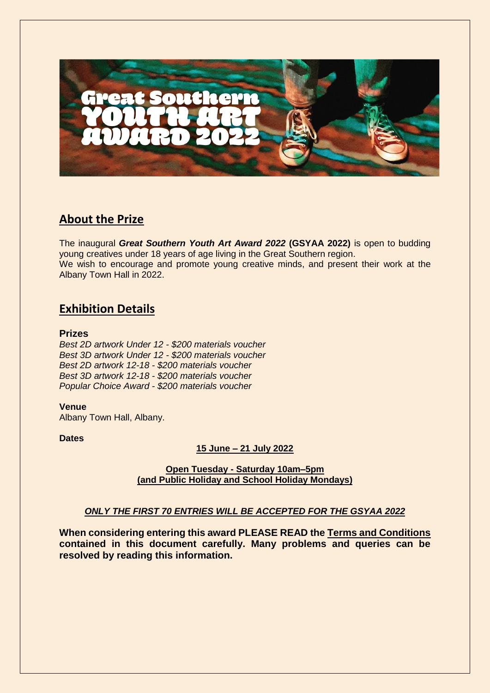

# **About the Prize**

The inaugural *Great Southern Youth Art Award 2022* **(GSYAA 2022)** is open to budding young creatives under 18 years of age living in the Great Southern region. We wish to encourage and promote young creative minds, and present their work at the Albany Town Hall in 2022.

# **Exhibition Details**

#### **Prizes**

*Best 2D artwork Under 12 - \$200 materials voucher Best 3D artwork Under 12 - \$200 materials voucher Best 2D artwork 12-18 - \$200 materials voucher Best 3D artwork 12-18 - \$200 materials voucher Popular Choice Award - \$200 materials voucher*

**Venue** Albany Town Hall, Albany.

### **Dates**

### **15 June – 21 July 2022**

**Open Tuesday - Saturday 10am–5pm (and Public Holiday and School Holiday Mondays)**

## *ONLY THE FIRST 70 ENTRIES WILL BE ACCEPTED FOR THE GSYAA 2022*

**When considering entering this award PLEASE READ the Terms and Conditions contained in this document carefully. Many problems and queries can be resolved by reading this information.**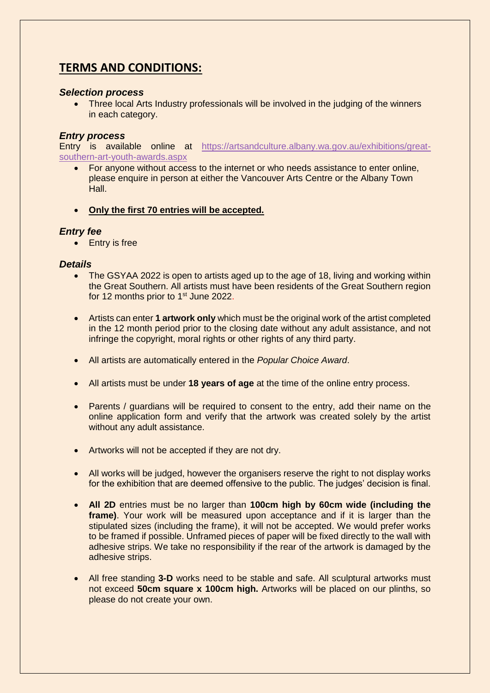# **TERMS AND CONDITIONS:**

### *Selection process*

• Three local Arts Industry professionals will be involved in the judging of the winners in each category.

### *Entry process*

Entry is available online at [https://artsandculture.albany.wa.gov.au/exhibitions/great](https://artsandculture.albany.wa.gov.au/exhibitions/great-southern-art-youth-awards.aspx)[southern-art-youth-awards.aspx](https://artsandculture.albany.wa.gov.au/exhibitions/great-southern-art-youth-awards.aspx)

- For anyone without access to the internet or who needs assistance to enter online, please enquire in person at either the Vancouver Arts Centre or the Albany Town Hall.
- **Only the first 70 entries will be accepted.**

#### *Entry fee*

• Entry is free

#### *Details*

- The GSYAA 2022 is open to artists aged up to the age of 18, living and working within the Great Southern. All artists must have been residents of the Great Southern region for 12 months prior to 1<sup>st</sup> June 2022.
- Artists can enter **1 artwork only** which must be the original work of the artist completed in the 12 month period prior to the closing date without any adult assistance, and not infringe the copyright, moral rights or other rights of any third party.
- All artists are automatically entered in the *Popular Choice Award*.
- All artists must be under **18 years of age** at the time of the online entry process.
- Parents / guardians will be required to consent to the entry, add their name on the online application form and verify that the artwork was created solely by the artist without any adult assistance.
- Artworks will not be accepted if they are not dry.
- All works will be judged, however the organisers reserve the right to not display works for the exhibition that are deemed offensive to the public. The judges' decision is final.
- **All 2D** entries must be no larger than **100cm high by 60cm wide (including the frame)**. Your work will be measured upon acceptance and if it is larger than the stipulated sizes (including the frame), it will not be accepted. We would prefer works to be framed if possible. Unframed pieces of paper will be fixed directly to the wall with adhesive strips. We take no responsibility if the rear of the artwork is damaged by the adhesive strips.
- All free standing **3-D** works need to be stable and safe. All sculptural artworks must not exceed **50cm square x 100cm high.** Artworks will be placed on our plinths, so please do not create your own.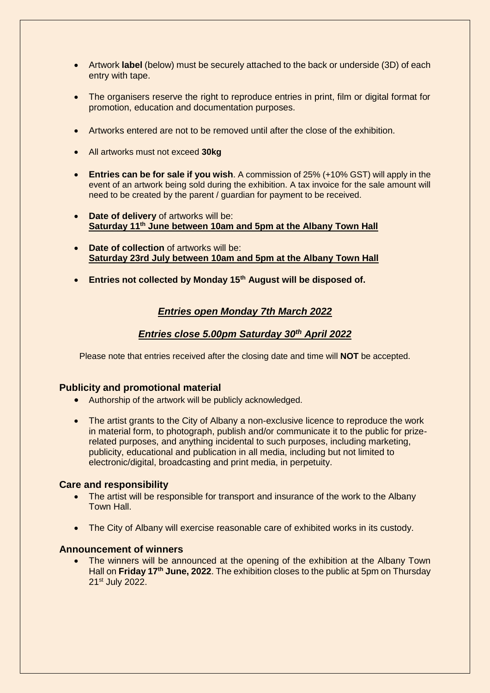- Artwork **label** (below) must be securely attached to the back or underside (3D) of each entry with tape.
- The organisers reserve the right to reproduce entries in print, film or digital format for promotion, education and documentation purposes.
- Artworks entered are not to be removed until after the close of the exhibition.
- All artworks must not exceed **30kg**
- **Entries can be for sale if you wish**. A commission of 25% (+10% GST) will apply in the event of an artwork being sold during the exhibition. A tax invoice for the sale amount will need to be created by the parent / guardian for payment to be received.
- **Date of delivery** of artworks will be: **Saturday 11th June between 10am and 5pm at the Albany Town Hall**
- **Date of collection** of artworks will be: **Saturday 23rd July between 10am and 5pm at the Albany Town Hall**
- **Entries not collected by Monday 15th August will be disposed of.**

### *Entries open Monday 7th March 2022*

### *Entries close 5.00pm Saturday 30th April 2022*

Please note that entries received after the closing date and time will **NOT** be accepted.

### **Publicity and promotional material**

- Authorship of the artwork will be publicly acknowledged.
- The artist grants to the City of Albany a non-exclusive licence to reproduce the work in material form, to photograph, publish and/or communicate it to the public for prizerelated purposes, and anything incidental to such purposes, including marketing, publicity, educational and publication in all media, including but not limited to electronic/digital, broadcasting and print media, in perpetuity.

#### **Care and responsibility**

- The artist will be responsible for transport and insurance of the work to the Albany Town Hall.
- The City of Albany will exercise reasonable care of exhibited works in its custody.

#### **Announcement of winners**

 The winners will be announced at the opening of the exhibition at the Albany Town Hall on **Friday 17th June, 2022**. The exhibition closes to the public at 5pm on Thursday 21st July 2022.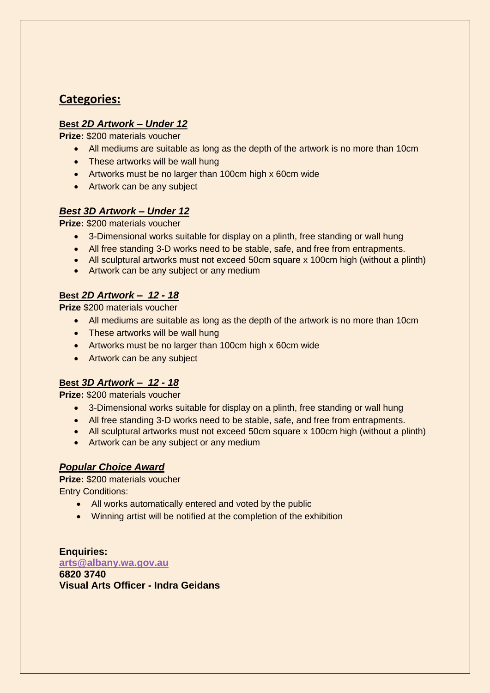# **Categories:**

## **Best** *2D Artwork – Under 12*

**Prize:** \$200 materials voucher

- All mediums are suitable as long as the depth of the artwork is no more than 10cm
- These artworks will be wall hung
- Artworks must be no larger than 100cm high x 60cm wide
- Artwork can be any subject

## *Best 3D Artwork – Under 12*

**Prize:** \$200 materials voucher

- 3-Dimensional works suitable for display on a plinth, free standing or wall hung
- All free standing 3-D works need to be stable, safe, and free from entrapments.
- All sculptural artworks must not exceed 50cm square x 100cm high (without a plinth)
- Artwork can be any subject or any medium

## **Best** *2D Artwork – 12 - 18*

**Prize** \$200 materials voucher

- All mediums are suitable as long as the depth of the artwork is no more than 10cm
- These artworks will be wall hung
- Artworks must be no larger than 100cm high x 60cm wide
- Artwork can be any subject

# **Best** *3D Artwork – 12 - 18*

**Prize:** \$200 materials voucher

- 3-Dimensional works suitable for display on a plinth, free standing or wall hung
- All free standing 3-D works need to be stable, safe, and free from entrapments.
- All sculptural artworks must not exceed 50cm square x 100cm high (without a plinth)
- Artwork can be any subject or any medium

## *Popular Choice Award*

**Prize:** \$200 materials voucher Entry Conditions:

- All works automatically entered and voted by the public
- Winning artist will be notified at the completion of the exhibition

**Enquiries: [arts@albany.wa.gov.au](mailto:arts@albany.wa.gov.au) 6820 3740 Visual Arts Officer - Indra Geidans**